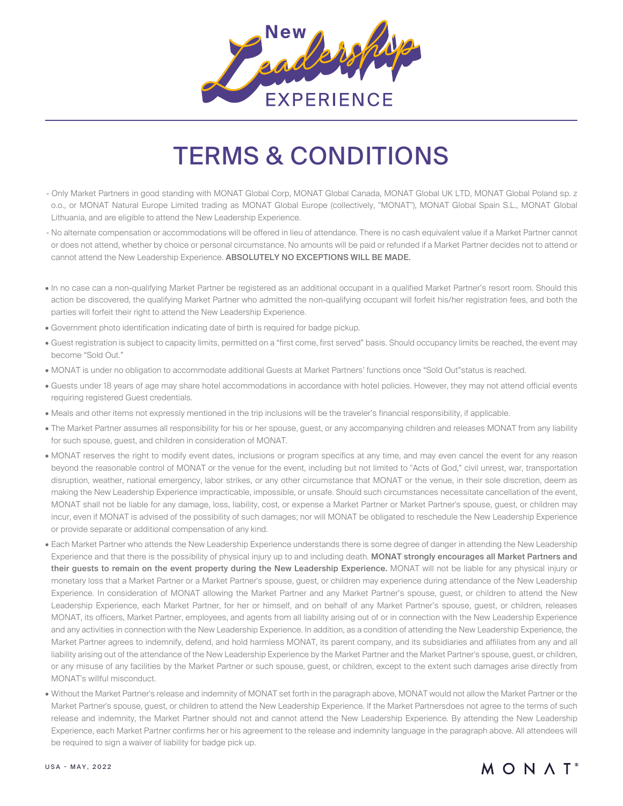

## TERMS & CONDITIONS

- Only Market Partners in good standing with MONAT Global Corp, MONAT Global Canada, MONAT Global UK LTD, MONAT Global Poland sp. z o.o., or MONAT Natural Europe Limited trading as MONAT Global Europe (collectively, "MONAT"), MONAT Global Spain S.L., MONAT Global Lithuania, and are eligible to attend the New Leadership Experience.
- No alternate compensation or accommodations will be offered in lieu of attendance. There is no cash equivalent value if a Market Partner cannot or does not attend, whether by choice or personal circumstance. No amounts will be paid or refunded if a Market Partner decides not to attend or cannot attend the New Leadership Experience. ABSOLUTELY NO EXCEPTIONS WILL BE MADE.
- In no case can a non-qualifying Market Partner be registered as an additional occupant in a qualified Market Partner's resort room. Should this action be discovered, the qualifying Market Partner who admitted the non-qualifying occupant will forfeit his/her registration fees, and both the parties will forfeit their right to attend the New Leadership Experience.
- Government photo identification indicating date of birth is required for badge pickup.
- Guest registration is subject to capacity limits, permitted on a "first come, first served" basis. Should occupancy limits be reached, the event may become "Sold Out."
- MONAT is under no obligation to accommodate additional Guests at Market Partners' functions once "Sold Out"status is reached.
- Guests under 18 years of age may share hotel accommodations in accordance with hotel policies. However, they may not attend official events requiring registered Guest credentials.
- Meals and other items not expressly mentioned in the trip inclusions will be the traveler's financial responsibility, if applicable.
- The Market Partner assumes all responsibility for his or her spouse, guest, or any accompanying children and releases MONAT from any liability for such spouse, guest, and children in consideration of MONAT.
- MONAT reserves the right to modify event dates, inclusions or program specifics at any time, and may even cancel the event for any reason beyond the reasonable control of MONAT or the venue for the event, including but not limited to "Acts of God," civil unrest, war, transportation disruption, weather, national emergency, labor strikes, or any other circumstance that MONAT or the venue, in their sole discretion, deem as making the New Leadership Experience impracticable, impossible, or unsafe. Should such circumstances necessitate cancellation of the event, MONAT shall not be liable for any damage, loss, liability, cost, or expense a Market Partner or Market Partner's spouse, guest, or children may incur, even if MONAT is advised of the possibility of such damages; nor will MONAT be obligated to reschedule the New Leadership Experience or provide separate or additional compensation of any kind.
- Each Market Partner who attends the New Leadership Experience understands there is some degree of danger in attending the New Leadership Experience and that there is the possibility of physical injury up to and including death. MONAT strongly encourages all Market Partners and their guests to remain on the event property during the New Leadership Experience. MONAT will not be liable for any physical injury or monetary loss that a Market Partner or a Market Partner's spouse, guest, or children may experience during attendance of the New Leadership Experience. In consideration of MONAT allowing the Market Partner and any Market Partner's spouse, guest, or children to attend the New Leadership Experience, each Market Partner, for her or himself, and on behalf of any Market Partner's spouse, guest, or children, releases MONAT, its officers, Market Partner, employees, and agents from all liability arising out of or in connection with the New Leadership Experience and any activities in connection with the New Leadership Experience. In addition, as a condition of attending the New Leadership Experience, the Market Partner agrees to indemnify, defend, and hold harmless MONAT, its parent company, and its subsidiaries and affiliates from any and all liability arising out of the attendance of the New Leadership Experience by the Market Partner and the Market Partner's spouse, guest, or children, or any misuse of any facilities by the Market Partner or such spouse, guest, or children, except to the extent such damages arise directly from MONAT's willful misconduct.
- Without the Market Partner's release and indemnity of MONAT set forth in the paragraph above, MONAT would not allow the Market Partner or the Market Partner's spouse, guest, or children to attend the New Leadership Experience. If the Market Partnersdoes not agree to the terms of such release and indemnity, the Market Partner should not and cannot attend the New Leadership Experience. By attending the New Leadership Experience, each Market Partner confirms her or his agreement to the release and indemnity language in the paragraph above. All attendees will be required to sign a waiver of liability for badge pick up.